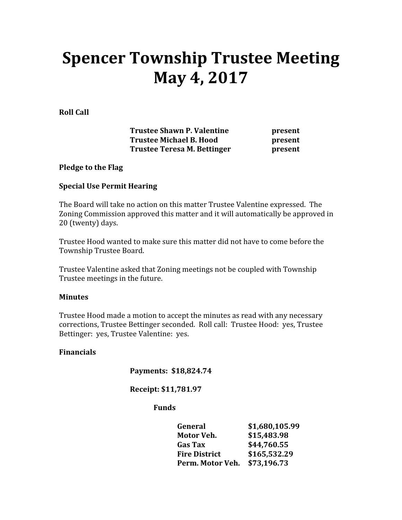# Spencer Township Trustee Meeting May 4, 2017

Roll Call

Trustee Shawn P. Valentine **present** Trustee Michael B. Hood **present** Trustee Teresa M. Bettinger **present** 

## Pledge to the Flag

## Special Use Permit Hearing

The Board will take no action on this matter Trustee Valentine expressed. The Zoning Commission approved this matter and it will automatically be approved in 20 (twenty) days.

Trustee Hood wanted to make sure this matter did not have to come before the Township Trustee Board.

Trustee Valentine asked that Zoning meetings not be coupled with Township Trustee meetings in the future.

## **Minutes**

Trustee Hood made a motion to accept the minutes as read with any necessary corrections, Trustee Bettinger seconded. Roll call: Trustee Hood: yes, Trustee Bettinger: yes, Trustee Valentine: yes.

## Financials

Payments: \$18,824.74

Receipt: \$11,781.97

## Funds

| General                      | \$1,680,105.99 |
|------------------------------|----------------|
| Motor Veh.                   | \$15,483.98    |
| <b>Gas Tax</b>               | \$44,760.55    |
| <b>Fire District</b>         | \$165,532.29   |
| Perm. Motor Veh. \$73,196.73 |                |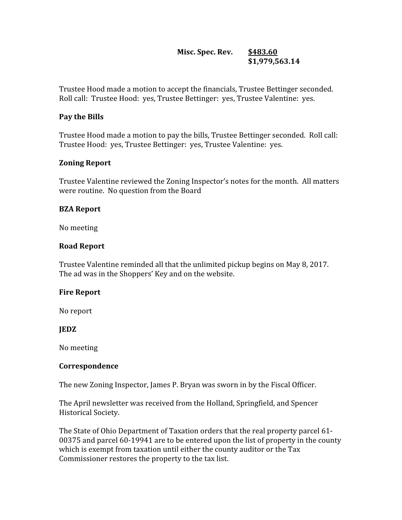## Misc. Spec. Rev. \$483.60 \$1,979,563.1 4

Trustee Hood made a motion to accept the financials, Trustee Bettinger seconded. Roll call: Trustee Hood: yes, Trustee Bettinger: yes, Trustee Valentine: yes.

## Pay the Bills

Trustee Hood made a motion to pay the bills, Trustee Bettinger seconded. Roll call: Trustee Hood: yes, Trustee Bettinger: yes, Trustee Valentine: yes.

## Zoning Report

Trustee Valentine reviewed the Zoning Inspector's notes for the month. All matters were routine. No question from the Board

## BZA Report

No meeting

## Road Report

Trustee Valentine reminded all that the unlimited pickup begins on May 8, 2017. The ad was in the Shoppers' Key and on the website.

## Fire Report

No report

## JEDZ

No meeting

## Correspondence

The new Zoning Inspector, James P. Bryan was sworn in by the Fiscal Officer.

The April newsletter was received from the Holland, Springfield, and Spencer Historical Society.

The State of Ohio Department of Taxation orders that the real property parcel 61- 00375 and parcel 60-19941 are to be entered upon the list of property in the county which is exempt from taxation until either the county auditor or the Tax Commissioner restores the property to the tax list.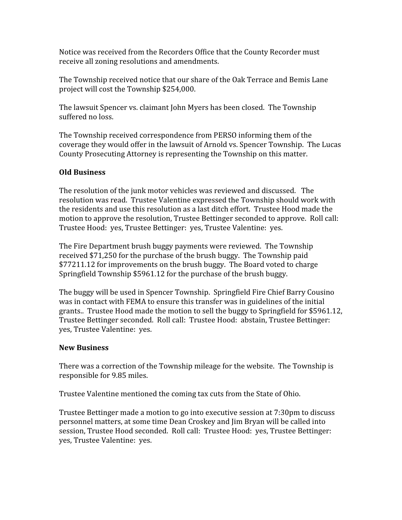Notice was received from the Recorders Office that the County Recorder must receive all zoning resolutions and amendments.

The Township received notice that our share of the Oak Terrace and Bemis Lane project will cost the Township \$254,000.

The lawsuit Spencer vs. claimant John Myers has been closed. The Township suffered no loss.

The Township received correspondence from PERSO informing them of the coverage they would offer in the lawsuit of Arnold vs. Spencer Township. The Lucas County Prosecuting Attorney is representing the Township on this matter.

## Old Business

The resolution of the junk motor vehicles was reviewed and discussed. The resolution was read. Trustee Valentine expressed the Township should work with the residents and use this resolution as a last ditch effort. Trustee Hood made the motion to approve the resolution, Trustee Bettinger seconded to approve. Roll call: Trustee Hood: yes, Trustee Bettinger: yes, Trustee Valentine: yes.

The Fire Department brush buggy payments were reviewed. The Township received \$71,250 for the purchase of the brush buggy. The Township paid \$77211.12 for improvements on the brush buggy. The Board voted to charge Springfield Township \$5961.12 for the purchase of the brush buggy.

The buggy will be used in Spencer Township. Springfield Fire Chief Barry Cousino was in contact with FEMA to ensure this transfer was in guidelines of the initial grants.. Trustee Hood made the motion to sell the buggy to Springfield for \$5961.12, Trustee Bettinger seconded. Roll call: Trustee Hood: abstain, Trustee Bettinger: yes, Trustee Valentine: yes.

## New Business

There was a correction of the Township mileage for the website. The Township is responsible for 9.85 miles.

Trustee Valentine mentioned the coming tax cuts from the State of Ohio.

Trustee Bettinger made a motion to go into executive session at 7:30pm to discuss personnel matters, at some time Dean Croskey and Jim Bryan will be called into session, Trustee Hood seconded. Roll call: Trustee Hood: yes, Trustee Bettinger: yes, Trustee Valentine: yes.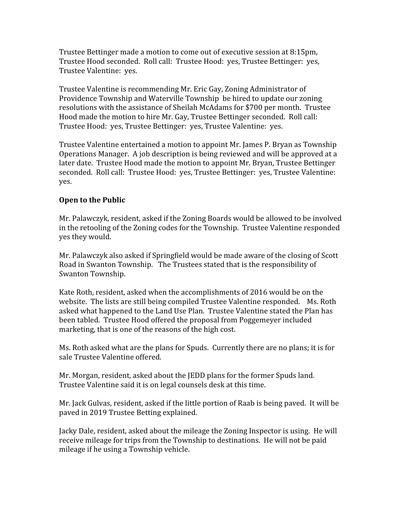Trustee Bettinger made a motion to come out of executive session at 8:15pm, Trustee Hood seconded. Roll call: Trustee Hood: yes, Trustee Bettinger: yes, Trustee Valentine: yes.

Trustee Valentine is recommending Mr. Eric Gay, Zoning Administrator of Providence Township and Waterville Township be hired to update our zoning resolutions with the assistance of Sheilah McAdams for \$700 per month. Trustee Hood made the motion to hire Mr. Gay, Trustee Bettinger seconded. Roll call: Trustee Hood: yes, Trustee Bettinger: yes, Trustee Valentine: yes.

Trustee Valentine entertained a motion to appoint Mr. James P. Bryan as Township Operations Manager. A job description is being reviewed and will be approved at a later date. Trustee Hood made the motion to appoint Mr. Bryan, Trustee Bettinger seconded. Roll call: Trustee Hood: yes, Trustee Bettinger: yes, Trustee Valentine: yes.

## Open to the Public

Mr. Palawczyk, resident, asked if the Zoning Boards would be allowed to be involved in the retooling of the Zoning codes for the Township. Trustee Valentine responded yes they would.

Mr. Palawczyk also asked if Springfield would be made aware of the closing of Scott Road in Swanton Township. The Trustees stated that is the responsibility of Swanton Township.

Kate Roth, resident, asked when the accomplishments of 2016 would be on the website. The lists are still being compiled Trustee Valentine responded. Ms. Roth asked what happened to the Land Use Plan. Trustee Valentine stated the Plan has been tabled. Trustee Hood offered the proposal from Poggemeyer included marketing, that is one of the reasons of the high cost.

Ms. Roth asked what are the plans for Spuds. Currently there are no plans; it is for sale Trustee Valentine offered.

Mr. Morgan, resident, asked about the JEDD plans for the former Spuds land. Trustee Valentine said it is on legal counsels desk at this time.

Mr. Jack Gulvas, resident, asked if the little portion of Raab is being paved. It will be paved in 2019 Trustee Betting explained.

Jacky Dale, resident, asked about the mileage the Zoning Inspector is using. He will receive mileage for trips from the Township to destinations. He will not be paid mileage if he using a Township vehicle.